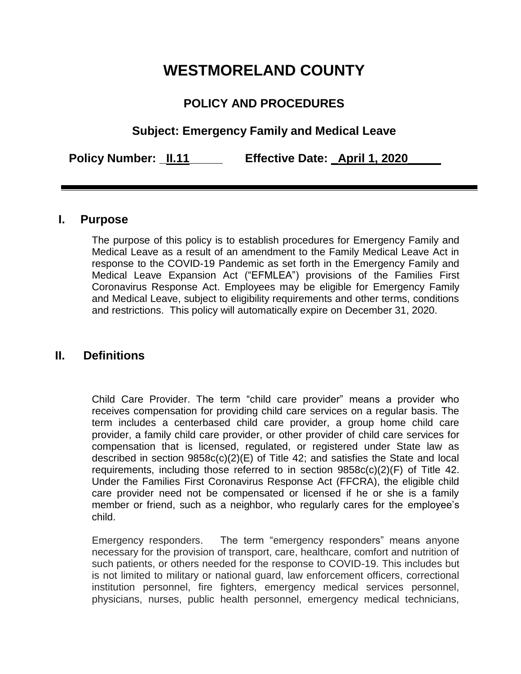# **WESTMORELAND COUNTY**

# **POLICY AND PROCEDURES**

# **Subject: Emergency Family and Medical Leave**

**Policy Number: \_II.11\_\_\_\_\_ Effective Date: \_April 1, 2020\_\_\_\_\_**

#### **I. Purpose**

The purpose of this policy is to establish procedures for Emergency Family and Medical Leave as a result of an amendment to the Family Medical Leave Act in response to the COVID-19 Pandemic as set forth in the Emergency Family and Medical Leave Expansion Act ("EFMLEA") provisions of the Families First Coronavirus Response Act. Employees may be eligible for Emergency Family and Medical Leave, subject to eligibility requirements and other terms, conditions and restrictions. This policy will automatically expire on December 31, 2020.

## **II. Definitions**

Child Care Provider. The term "child care provider" means a provider who receives compensation for providing child care services on a regular basis. The term includes a centerbased child care provider, a group home child care provider, a family child care provider, or other provider of child care services for compensation that is licensed, regulated, or registered under State law as described in section 9858c(c)(2)(E) of Title 42; and satisfies the State and local requirements, including those referred to in section 9858c(c)(2)(F) of Title 42. Under the Families First Coronavirus Response Act (FFCRA), the eligible child care provider need not be compensated or licensed if he or she is a family member or friend, such as a neighbor, who regularly cares for the employee's child.

Emergency responders. The term "emergency responders" means anyone necessary for the provision of transport, care, healthcare, comfort and nutrition of such patients, or others needed for the response to COVID-19. This includes but is not limited to military or national guard, law enforcement officers, correctional institution personnel, fire fighters, emergency medical services personnel, physicians, nurses, public health personnel, emergency medical technicians,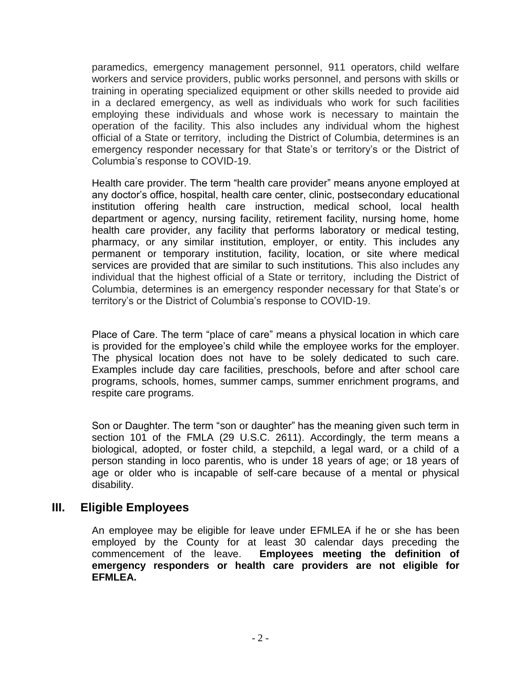paramedics, emergency management personnel, 911 operators, child welfare workers and service providers, public works personnel, and persons with skills or training in operating specialized equipment or other skills needed to provide aid in a declared emergency, as well as individuals who work for such facilities employing these individuals and whose work is necessary to maintain the operation of the facility. This also includes any individual whom the highest official of a State or territory, including the District of Columbia, determines is an emergency responder necessary for that State's or territory's or the District of Columbia's response to COVID-19.

Health care provider. The term "health care provider" means anyone employed at any doctor's office, hospital, health care center, clinic, postsecondary educational institution offering health care instruction, medical school, local health department or agency, nursing facility, retirement facility, nursing home, home health care provider, any facility that performs laboratory or medical testing, pharmacy, or any similar institution, employer, or entity. This includes any permanent or temporary institution, facility, location, or site where medical services are provided that are similar to such institutions. This also includes any individual that the highest official of a State or territory, including the District of Columbia, determines is an emergency responder necessary for that State's or territory's or the District of Columbia's response to COVID-19.

Place of Care. The term "place of care" means a physical location in which care is provided for the employee's child while the employee works for the employer. The physical location does not have to be solely dedicated to such care. Examples include day care facilities, preschools, before and after school care programs, schools, homes, summer camps, summer enrichment programs, and respite care programs.

Son or Daughter. The term "son or daughter" has the meaning given such term in section 101 of the FMLA (29 U.S.C. 2611). Accordingly, the term means a biological, adopted, or foster child, a stepchild, a legal ward, or a child of a person standing in loco parentis, who is under 18 years of age; or 18 years of age or older who is incapable of self-care because of a mental or physical disability.

## **III. Eligible Employees**

An employee may be eligible for leave under EFMLEA if he or she has been employed by the County for at least 30 calendar days preceding the commencement of the leave. **Employees meeting the definition of emergency responders or health care providers are not eligible for EFMLEA.**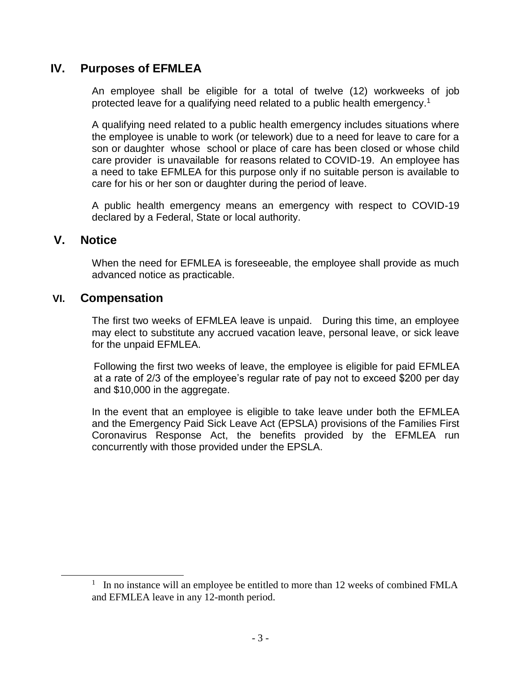## **IV. Purposes of EFMLEA**

An employee shall be eligible for a total of twelve (12) workweeks of job protected leave for a qualifying need related to a public health emergency.<sup>1</sup>

A qualifying need related to a public health emergency includes situations where the employee is unable to work (or telework) due to a need for leave to care for a son or daughter whose school or place of care has been closed or whose child care provider is unavailable for reasons related to COVID-19. An employee has a need to take EFMLEA for this purpose only if no suitable person is available to care for his or her son or daughter during the period of leave.

A public health emergency means an emergency with respect to COVID-19 declared by a Federal, State or local authority.

#### **V. Notice**

 $\overline{a}$ 

When the need for EFMLEA is foreseeable, the employee shall provide as much advanced notice as practicable.

#### **VI. Compensation**

The first two weeks of EFMLEA leave is unpaid. During this time, an employee may elect to substitute any accrued vacation leave, personal leave, or sick leave for the unpaid EFMLEA.

Following the first two weeks of leave, the employee is eligible for paid EFMLEA at a rate of 2/3 of the employee's regular rate of pay not to exceed \$200 per day and \$10,000 in the aggregate.

In the event that an employee is eligible to take leave under both the EFMLEA and the Emergency Paid Sick Leave Act (EPSLA) provisions of the Families First Coronavirus Response Act, the benefits provided by the EFMLEA run concurrently with those provided under the EPSLA.

<sup>&</sup>lt;sup>1</sup> In no instance will an employee be entitled to more than 12 weeks of combined FMLA and EFMLEA leave in any 12-month period.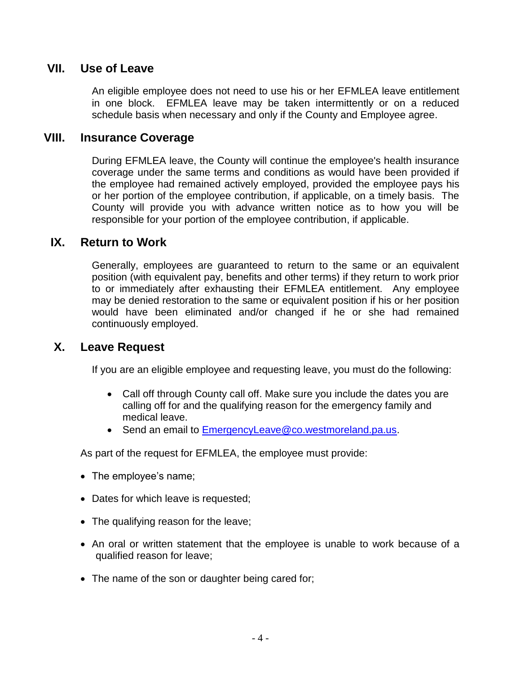## **VII. Use of Leave**

An eligible employee does not need to use his or her EFMLEA leave entitlement in one block. EFMLEA leave may be taken intermittently or on a reduced schedule basis when necessary and only if the County and Employee agree.

#### **VIII. Insurance Coverage**

During EFMLEA leave, the County will continue the employee's health insurance coverage under the same terms and conditions as would have been provided if the employee had remained actively employed, provided the employee pays his or her portion of the employee contribution, if applicable, on a timely basis. The County will provide you with advance written notice as to how you will be responsible for your portion of the employee contribution, if applicable.

#### **IX. Return to Work**

Generally, employees are guaranteed to return to the same or an equivalent position (with equivalent pay, benefits and other terms) if they return to work prior to or immediately after exhausting their EFMLEA entitlement. Any employee may be denied restoration to the same or equivalent position if his or her position would have been eliminated and/or changed if he or she had remained continuously employed.

## **X. Leave Request**

If you are an eligible employee and requesting leave, you must do the following:

- Call off through County call off. Make sure you include the dates you are calling off for and the qualifying reason for the emergency family and medical leave.
- Send an email to [EmergencyLeave@co.westmoreland.pa.us.](mailto:EmergencyLeave@co.westmoreland.pa.us)

As part of the request for EFMLEA, the employee must provide:

- The employee's name;
- Dates for which leave is requested;
- The qualifying reason for the leave;
- An oral or written statement that the employee is unable to work because of a qualified reason for leave;
- The name of the son or daughter being cared for;